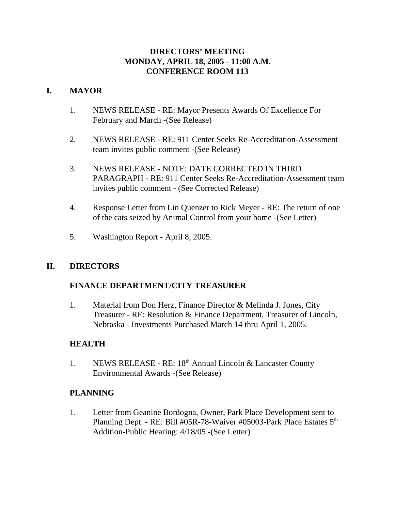## **DIRECTORS' MEETING MONDAY, APRIL 18, 2005 - 11:00 A.M. CONFERENCE ROOM 113**

## **I. MAYOR**

- 1. NEWS RELEASE RE: Mayor Presents Awards Of Excellence For February and March -(See Release)
- 2. NEWS RELEASE RE: 911 Center Seeks Re-Accreditation-Assessment team invites public comment -(See Release)
- 3. NEWS RELEASE NOTE: DATE CORRECTED IN THIRD PARAGRAPH - RE: 911 Center Seeks Re-Accreditation-Assessment team invites public comment - (See Corrected Release)
- 4. Response Letter from Lin Quenzer to Rick Meyer RE: The return of one of the cats seized by Animal Control from your home -(See Letter)
- 5. Washington Report April 8, 2005.

## **II. DIRECTORS**

## **FINANCE DEPARTMENT/CITY TREASURER**

1. Material from Don Herz, Finance Director & Melinda J. Jones, City Treasurer - RE: Resolution & Finance Department, Treasurer of Lincoln, Nebraska - Investments Purchased March 14 thru April 1, 2005.

## **HEALTH**

1. NEWS RELEASE - RE: 18<sup>th</sup> Annual Lincoln & Lancaster County Environmental Awards -(See Release)

## **PLANNING**

1. Letter from Geanine Bordogna, Owner, Park Place Development sent to Planning Dept. - RE: Bill #05R-78-Waiver #05003-Park Place Estates 5<sup>th</sup> Addition-Public Hearing: 4/18/05 -(See Letter)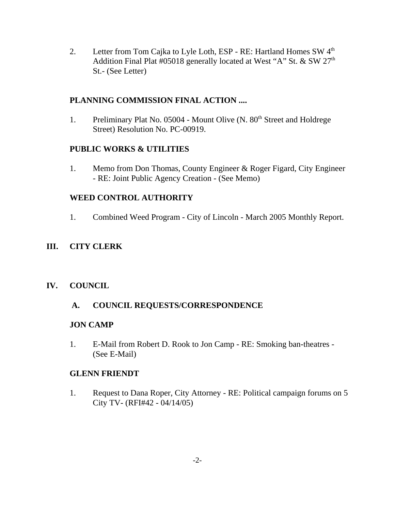2. Letter from Tom Cajka to Lyle Loth, ESP - RE: Hartland Homes SW 4<sup>th</sup> Addition Final Plat #05018 generally located at West "A" St. & SW 27<sup>th</sup> St.- (See Letter)

## **PLANNING COMMISSION FINAL ACTION ....**

1. Preliminary Plat No. 05004 - Mount Olive (N. 80<sup>th</sup> Street and Holdrege Street) Resolution No. PC-00919.

#### **PUBLIC WORKS & UTILITIES**

1. Memo from Don Thomas, County Engineer & Roger Figard, City Engineer - RE: Joint Public Agency Creation - (See Memo)

## **WEED CONTROL AUTHORITY**

1. Combined Weed Program - City of Lincoln - March 2005 Monthly Report.

## **III. CITY CLERK**

## **IV. COUNCIL**

## **A. COUNCIL REQUESTS/CORRESPONDENCE**

#### **JON CAMP**

1. E-Mail from Robert D. Rook to Jon Camp - RE: Smoking ban-theatres - (See E-Mail)

#### **GLENN FRIENDT**

1. Request to Dana Roper, City Attorney - RE: Political campaign forums on 5 City TV- (RFI#42 - 04/14/05)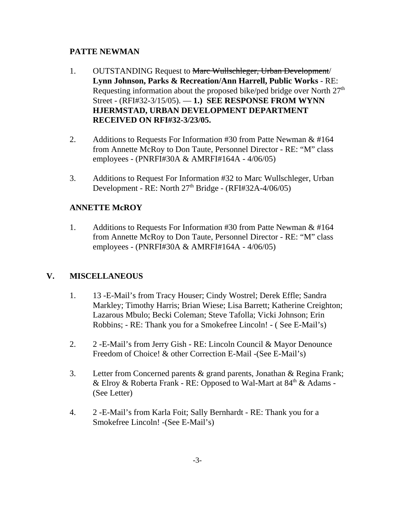## **PATTE NEWMAN**

- 1. OUTSTANDING Request to Marc Wullschleger, Urban Development/ **Lynn Johnson, Parks & Recreation/Ann Harrell, Public Works** - RE: Requesting information about the proposed bike/ped bridge over North  $27<sup>th</sup>$ Street - (RFI#32-3/15/05). — **1.) SEE RESPONSE FROM WYNN HJERMSTAD, URBAN DEVELOPMENT DEPARTMENT RECEIVED ON RFI#32-3/23/05.**
- 2. Additions to Requests For Information #30 from Patte Newman & #164 from Annette McRoy to Don Taute, Personnel Director - RE: "M" class employees - (PNRFI#30A & AMRFI#164A - 4/06/05)
- 3. Additions to Request For Information #32 to Marc Wullschleger, Urban Development - RE: North 27<sup>th</sup> Bridge - (RFI#32A-4/06/05)

# **ANNETTE McROY**

1. Additions to Requests For Information #30 from Patte Newman & #164 from Annette McRoy to Don Taute, Personnel Director - RE: "M" class employees - (PNRFI#30A & AMRFI#164A - 4/06/05)

# **V. MISCELLANEOUS**

- 1. 13 -E-Mail's from Tracy Houser; Cindy Wostrel; Derek Effle; Sandra Markley; Timothy Harris; Brian Wiese; Lisa Barrett; Katherine Creighton; Lazarous Mbulo; Becki Coleman; Steve Tafolla; Vicki Johnson; Erin Robbins; - RE: Thank you for a Smokefree Lincoln! - ( See E-Mail's)
- 2. 2 -E-Mail's from Jerry Gish RE: Lincoln Council & Mayor Denounce Freedom of Choice! & other Correction E-Mail -(See E-Mail's)
- 3. Letter from Concerned parents & grand parents, Jonathan & Regina Frank; & Elroy & Roberta Frank - RE: Opposed to Wal-Mart at  $84<sup>th</sup>$  & Adams -(See Letter)
- 4. 2 -E-Mail's from Karla Foit; Sally Bernhardt RE: Thank you for a Smokefree Lincoln! -(See E-Mail's)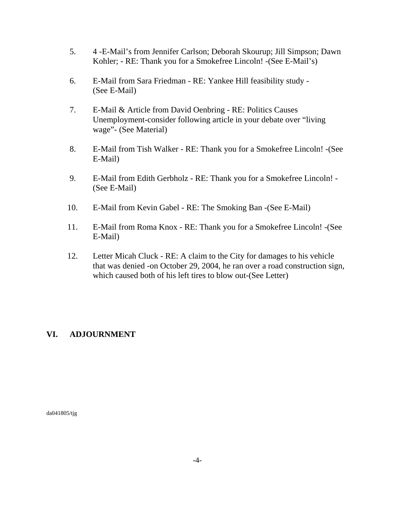- 5. 4 -E-Mail's from Jennifer Carlson; Deborah Skourup; Jill Simpson; Dawn Kohler; - RE: Thank you for a Smokefree Lincoln! -(See E-Mail's)
- 6. E-Mail from Sara Friedman RE: Yankee Hill feasibility study (See E-Mail)
- 7. E-Mail & Article from David Oenbring RE: Politics Causes Unemployment-consider following article in your debate over "living wage"- (See Material)
- 8. E-Mail from Tish Walker RE: Thank you for a Smokefree Lincoln! -(See E-Mail)
- 9. E-Mail from Edith Gerbholz RE: Thank you for a Smokefree Lincoln! (See E-Mail)
- 10. E-Mail from Kevin Gabel RE: The Smoking Ban -(See E-Mail)
- 11. E-Mail from Roma Knox RE: Thank you for a Smokefree Lincoln! -(See E-Mail)
- 12. Letter Micah Cluck RE: A claim to the City for damages to his vehicle that was denied -on October 29, 2004, he ran over a road construction sign, which caused both of his left tires to blow out-(See Letter)

# **VI. ADJOURNMENT**

da041805/tjg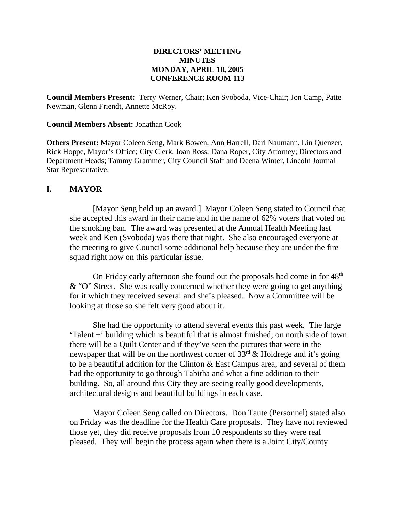#### **DIRECTORS' MEETING MINUTES MONDAY, APRIL 18, 2005 CONFERENCE ROOM 113**

**Council Members Present:** Terry Werner, Chair; Ken Svoboda, Vice-Chair; Jon Camp, Patte Newman, Glenn Friendt, Annette McRoy.

#### **Council Members Absent:** Jonathan Cook

**Others Present:** Mayor Coleen Seng, Mark Bowen, Ann Harrell, Darl Naumann, Lin Quenzer, Rick Hoppe, Mayor's Office; City Clerk, Joan Ross; Dana Roper, City Attorney; Directors and Department Heads; Tammy Grammer, City Council Staff and Deena Winter, Lincoln Journal Star Representative.

#### **I. MAYOR**

[Mayor Seng held up an award.] Mayor Coleen Seng stated to Council that she accepted this award in their name and in the name of 62% voters that voted on the smoking ban. The award was presented at the Annual Health Meeting last week and Ken (Svoboda) was there that night. She also encouraged everyone at the meeting to give Council some additional help because they are under the fire squad right now on this particular issue.

On Friday early afternoon she found out the proposals had come in for  $48<sup>th</sup>$ & "O" Street. She was really concerned whether they were going to get anything for it which they received several and she's pleased. Now a Committee will be looking at those so she felt very good about it.

She had the opportunity to attend several events this past week. The large 'Talent +' building which is beautiful that is almost finished; on north side of town there will be a Quilt Center and if they've seen the pictures that were in the newspaper that will be on the northwest corner of  $33<sup>rd</sup>$  & Holdrege and it's going to be a beautiful addition for the Clinton & East Campus area; and several of them had the opportunity to go through Tabitha and what a fine addition to their building. So, all around this City they are seeing really good developments, architectural designs and beautiful buildings in each case.

Mayor Coleen Seng called on Directors. Don Taute (Personnel) stated also on Friday was the deadline for the Health Care proposals. They have not reviewed those yet, they did receive proposals from 10 respondents so they were real pleased. They will begin the process again when there is a Joint City/County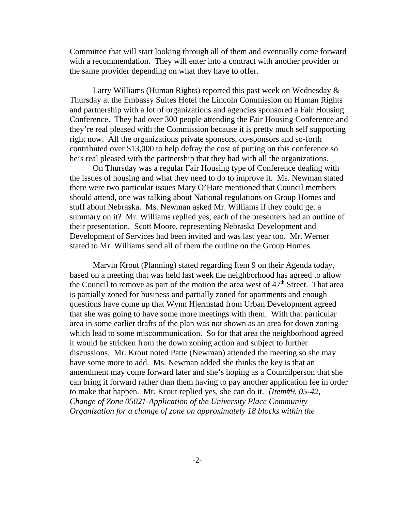Committee that will start looking through all of them and eventually come forward with a recommendation. They will enter into a contract with another provider or the same provider depending on what they have to offer.

Larry Williams (Human Rights) reported this past week on Wednesday & Thursday at the Embassy Suites Hotel the Lincoln Commission on Human Rights and partnership with a lot of organizations and agencies sponsored a Fair Housing Conference. They had over 300 people attending the Fair Housing Conference and they're real pleased with the Commission because it is pretty much self supporting right now. All the organizations private sponsors, co-sponsors and so-forth contributed over \$13,000 to help defray the cost of putting on this conference so he's real pleased with the partnership that they had with all the organizations.

On Thursday was a regular Fair Housing type of Conference dealing with the issues of housing and what they need to do to improve it. Ms. Newman stated there were two particular issues Mary O'Hare mentioned that Council members should attend, one was talking about National regulations on Group Homes and stuff about Nebraska. Ms. Newman asked Mr. Williams if they could get a summary on it? Mr. Williams replied yes, each of the presenters had an outline of their presentation. Scott Moore, representing Nebraska Development and Development of Services had been invited and was last year too. Mr. Werner stated to Mr. Williams send all of them the outline on the Group Homes.

Marvin Krout (Planning) stated regarding Item 9 on their Agenda today, based on a meeting that was held last week the neighborhood has agreed to allow the Council to remove as part of the motion the area west of  $47<sup>th</sup>$  Street. That area is partially zoned for business and partially zoned for apartments and enough questions have come up that Wynn Hjermstad from Urban Development agreed that she was going to have some more meetings with them. With that particular area in some earlier drafts of the plan was not shown as an area for down zoning which lead to some miscommunication. So for that area the neighborhood agreed it would be stricken from the down zoning action and subject to further discussions. Mr. Krout noted Patte (Newman) attended the meeting so she may have some more to add. Ms. Newman added she thinks the key is that an amendment may come forward later and she's hoping as a Councilperson that she can bring it forward rather than them having to pay another application fee in order to make that happen. Mr. Krout replied yes, she can do it. *[Item#9, 05-42, Change of Zone 05021-Application of the University Place Community Organization for a change of zone on approximately 18 blocks within the*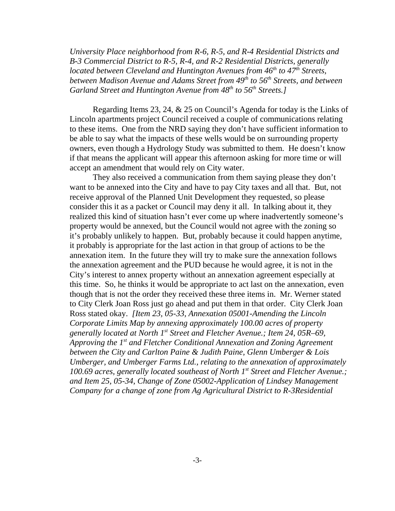*University Place neighborhood from R-6, R-5, and R-4 Residential Districts and B-3 Commercial District to R-5, R-4, and R-2 Residential Districts, generally located between Cleveland and Huntington Avenues from 46<sup>th</sup> to 47<sup>th</sup> Streets, between Madison Avenue and Adams Street from 49<sup>th</sup> to 56<sup>th</sup> Streets, and between* Garland Street and Huntington Avenue from 48<sup>th</sup> to 56<sup>th</sup> Streets.]

Regarding Items 23, 24, & 25 on Council's Agenda for today is the Links of Lincoln apartments project Council received a couple of communications relating to these items. One from the NRD saying they don't have sufficient information to be able to say what the impacts of these wells would be on surrounding property owners, even though a Hydrology Study was submitted to them. He doesn't know if that means the applicant will appear this afternoon asking for more time or will accept an amendment that would rely on City water.

They also received a communication from them saying please they don't want to be annexed into the City and have to pay City taxes and all that. But, not receive approval of the Planned Unit Development they requested, so please consider this it as a packet or Council may deny it all. In talking about it, they realized this kind of situation hasn't ever come up where inadvertently someone's property would be annexed, but the Council would not agree with the zoning so it's probably unlikely to happen. But, probably because it could happen anytime, it probably is appropriate for the last action in that group of actions to be the annexation item. In the future they will try to make sure the annexation follows the annexation agreement and the PUD because he would agree, it is not in the City's interest to annex property without an annexation agreement especially at this time. So, he thinks it would be appropriate to act last on the annexation, even though that is not the order they received these three items in. Mr. Werner stated to City Clerk Joan Ross just go ahead and put them in that order. City Clerk Joan Ross stated okay. *[Item 23, 05-33, Annexation 05001-Amending the Lincoln Corporate Limits Map by annexing approximately 100.00 acres of property generally located at North 1st Street and Fletcher Avenue.; Item 24, 05R–69, Approving the 1st and Fletcher Conditional Annexation and Zoning Agreement between the City and Carlton Paine & Judith Paine, Glenn Umberger & Lois Umberger, and Umberger Farms Ltd., relating to the annexation of approximately 100.69 acres, generally located southeast of North 1st Street and Fletcher Avenue.; and Item 25, 05-34, Change of Zone 05002-Application of Lindsey Management Company for a change of zone from Ag Agricultural District to R-3Residential*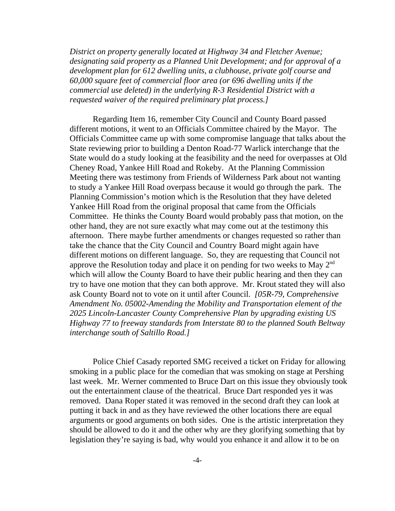*District on property generally located at Highway 34 and Fletcher Avenue; designating said property as a Planned Unit Development; and for approval of a development plan for 612 dwelling units, a clubhouse, private golf course and 60,000 square feet of commercial floor area (or 696 dwelling units if the commercial use deleted) in the underlying R-3 Residential District with a requested waiver of the required preliminary plat process.]* 

Regarding Item 16, remember City Council and County Board passed different motions, it went to an Officials Committee chaired by the Mayor. The Officials Committee came up with some compromise language that talks about the State reviewing prior to building a Denton Road-77 Warlick interchange that the State would do a study looking at the feasibility and the need for overpasses at Old Cheney Road, Yankee Hill Road and Rokeby. At the Planning Commission Meeting there was testimony from Friends of Wilderness Park about not wanting to study a Yankee Hill Road overpass because it would go through the park. The Planning Commission's motion which is the Resolution that they have deleted Yankee Hill Road from the original proposal that came from the Officials Committee. He thinks the County Board would probably pass that motion, on the other hand, they are not sure exactly what may come out at the testimony this afternoon. There maybe further amendments or changes requested so rather than take the chance that the City Council and Country Board might again have different motions on different language. So, they are requesting that Council not approve the Resolution today and place it on pending for two weeks to May  $2<sup>nd</sup>$ which will allow the County Board to have their public hearing and then they can try to have one motion that they can both approve. Mr. Krout stated they will also ask County Board not to vote on it until after Council. *[05R-79, Comprehensive Amendment No. 05002-Amending the Mobility and Transportation element of the 2025 Lincoln-Lancaster County Comprehensive Plan by upgrading existing US Highway 77 to freeway standards from Interstate 80 to the planned South Beltway interchange south of Saltillo Road.]* 

Police Chief Casady reported SMG received a ticket on Friday for allowing smoking in a public place for the comedian that was smoking on stage at Pershing last week. Mr. Werner commented to Bruce Dart on this issue they obviously took out the entertainment clause of the theatrical. Bruce Dart responded yes it was removed. Dana Roper stated it was removed in the second draft they can look at putting it back in and as they have reviewed the other locations there are equal arguments or good arguments on both sides. One is the artistic interpretation they should be allowed to do it and the other why are they glorifying something that by legislation they're saying is bad, why would you enhance it and allow it to be on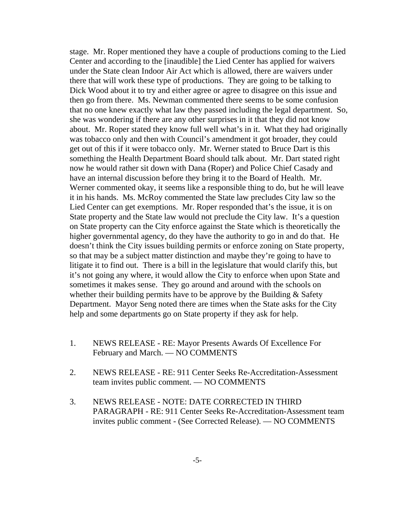stage. Mr. Roper mentioned they have a couple of productions coming to the Lied Center and according to the [inaudible] the Lied Center has applied for waivers under the State clean Indoor Air Act which is allowed, there are waivers under there that will work these type of productions. They are going to be talking to Dick Wood about it to try and either agree or agree to disagree on this issue and then go from there. Ms. Newman commented there seems to be some confusion that no one knew exactly what law they passed including the legal department. So, she was wondering if there are any other surprises in it that they did not know about. Mr. Roper stated they know full well what's in it. What they had originally was tobacco only and then with Council's amendment it got broader, they could get out of this if it were tobacco only. Mr. Werner stated to Bruce Dart is this something the Health Department Board should talk about. Mr. Dart stated right now he would rather sit down with Dana (Roper) and Police Chief Casady and have an internal discussion before they bring it to the Board of Health. Mr. Werner commented okay, it seems like a responsible thing to do, but he will leave it in his hands. Ms. McRoy commented the State law precludes City law so the Lied Center can get exemptions. Mr. Roper responded that's the issue, it is on State property and the State law would not preclude the City law. It's a question on State property can the City enforce against the State which is theoretically the higher governmental agency, do they have the authority to go in and do that. He doesn't think the City issues building permits or enforce zoning on State property, so that may be a subject matter distinction and maybe they're going to have to litigate it to find out. There is a bill in the legislature that would clarify this, but it's not going any where, it would allow the City to enforce when upon State and sometimes it makes sense. They go around and around with the schools on whether their building permits have to be approve by the Building  $&$  Safety Department. Mayor Seng noted there are times when the State asks for the City help and some departments go on State property if they ask for help.

- 1. NEWS RELEASE RE: Mayor Presents Awards Of Excellence For February and March. — NO COMMENTS
- 2. NEWS RELEASE RE: 911 Center Seeks Re-Accreditation-Assessment team invites public comment. — NO COMMENTS
- 3. NEWS RELEASE NOTE: DATE CORRECTED IN THIRD PARAGRAPH - RE: 911 Center Seeks Re-Accreditation-Assessment team invites public comment - (See Corrected Release). — NO COMMENTS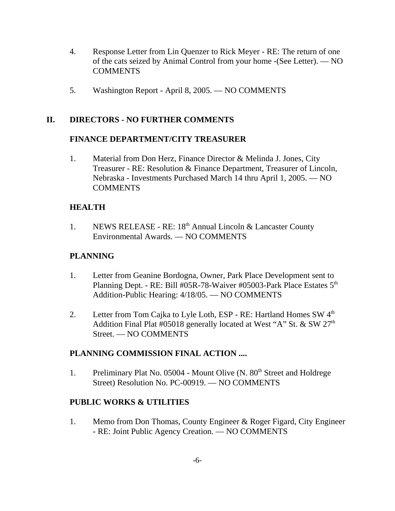- 4. Response Letter from Lin Quenzer to Rick Meyer RE: The return of one of the cats seized by Animal Control from your home -(See Letter). — NO COMMENTS
- 5. Washington Report April 8, 2005. NO COMMENTS

## **II. DIRECTORS - NO FURTHER COMMENTS**

#### **FINANCE DEPARTMENT/CITY TREASURER**

1. Material from Don Herz, Finance Director & Melinda J. Jones, City Treasurer - RE: Resolution & Finance Department, Treasurer of Lincoln, Nebraska - Investments Purchased March 14 thru April 1, 2005. — NO **COMMENTS** 

## **HEALTH**

1. NEWS RELEASE - RE: 18<sup>th</sup> Annual Lincoln & Lancaster County Environmental Awards. — NO COMMENTS

## **PLANNING**

- 1. Letter from Geanine Bordogna, Owner, Park Place Development sent to Planning Dept. - RE: Bill #05R-78-Waiver #05003-Park Place Estates 5<sup>th</sup> Addition-Public Hearing: 4/18/05. — NO COMMENTS
- 2. Letter from Tom Cajka to Lyle Loth, ESP RE: Hartland Homes SW 4<sup>th</sup> Addition Final Plat #05018 generally located at West "A" St. & SW  $27<sup>th</sup>$ Street. — NO COMMENTS

## **PLANNING COMMISSION FINAL ACTION ....**

1. Preliminary Plat No. 05004 - Mount Olive (N. 80<sup>th</sup> Street and Holdrege Street) Resolution No. PC-00919. — NO COMMENTS

## **PUBLIC WORKS & UTILITIES**

1. Memo from Don Thomas, County Engineer & Roger Figard, City Engineer - RE: Joint Public Agency Creation. — NO COMMENTS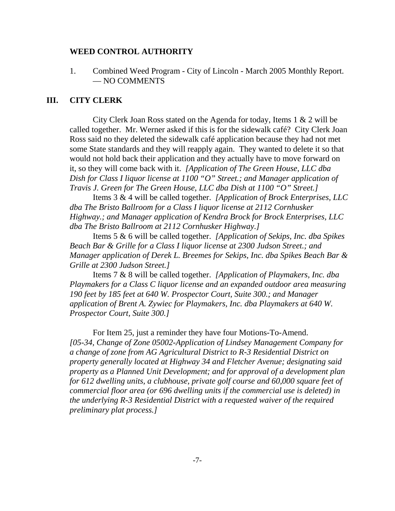#### **WEED CONTROL AUTHORITY**

1. Combined Weed Program - City of Lincoln - March 2005 Monthly Report. — NO COMMENTS

#### **III. CITY CLERK**

City Clerk Joan Ross stated on the Agenda for today, Items 1 & 2 will be called together. Mr. Werner asked if this is for the sidewalk café? City Clerk Joan Ross said no they deleted the sidewalk café application because they had not met some State standards and they will reapply again. They wanted to delete it so that would not hold back their application and they actually have to move forward on it, so they will come back with it. *[Application of The Green House, LLC dba Dish for Class I liquor license at 1100 "O" Street.; and Manager application of Travis J. Green for The Green House, LLC dba Dish at 1100 "O" Street.]* 

Items 3 & 4 will be called together. *[Application of Brock Enterprises, LLC dba The Bristo Ballroom for a Class I liquor license at 2112 Cornhusker Highway.; and Manager application of Kendra Brock for Brock Enterprises, LLC dba The Bristo Ballroom at 2112 Cornhusker Highway.]* 

Items 5 & 6 will be called together. *[Application of Sekips, Inc. dba Spikes Beach Bar & Grille for a Class I liquor license at 2300 Judson Street.; and Manager application of Derek L. Breemes for Sekips, Inc. dba Spikes Beach Bar & Grille at 2300 Judson Street.]* 

Items 7 & 8 will be called together. *[Application of Playmakers, Inc. dba Playmakers for a Class C liquor license and an expanded outdoor area measuring 190 feet by 185 feet at 640 W. Prospector Court, Suite 300.; and Manager application of Brent A. Zywiec for Playmakers, Inc. dba Playmakers at 640 W. Prospector Court, Suite 300.]* 

For Item 25, just a reminder they have four Motions-To-Amend. *[05-34, Change of Zone 05002-Application of Lindsey Management Company for a change of zone from AG Agricultural District to R-3 Residential District on property generally located at Highway 34 and Fletcher Avenue; designating said property as a Planned Unit Development; and for approval of a development plan for 612 dwelling units, a clubhouse, private golf course and 60,000 square feet of commercial floor area (or 696 dwelling units if the commercial use is deleted) in the underlying R-3 Residential District with a requested waiver of the required preliminary plat process.]*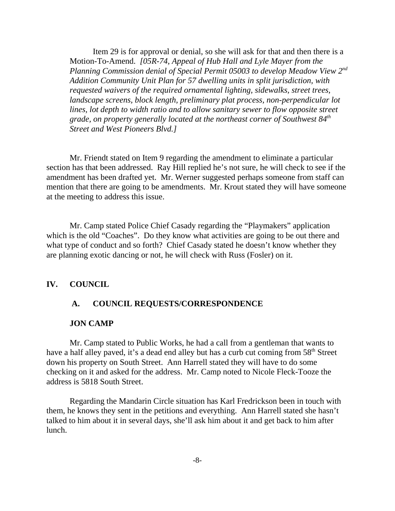Item 29 is for approval or denial, so she will ask for that and then there is a Motion-To-Amend. *[05R-74, Appeal of Hub Hall and Lyle Mayer from the Planning Commission denial of Special Permit 05003 to develop Meadow View 2nd Addition Community Unit Plan for 57 dwelling units in split jurisdiction, with requested waivers of the required ornamental lighting, sidewalks, street trees, landscape screens, block length, preliminary plat process, non-perpendicular lot lines, lot depth to width ratio and to allow sanitary sewer to flow opposite street grade, on property generally located at the northeast corner of Southwest 84th Street and West Pioneers Blvd.]*

Mr. Friendt stated on Item 9 regarding the amendment to eliminate a particular section has that been addressed. Ray Hill replied he's not sure, he will check to see if the amendment has been drafted yet. Mr. Werner suggested perhaps someone from staff can mention that there are going to be amendments. Mr. Krout stated they will have someone at the meeting to address this issue.

Mr. Camp stated Police Chief Casady regarding the "Playmakers" application which is the old "Coaches". Do they know what activities are going to be out there and what type of conduct and so forth? Chief Casady stated he doesn't know whether they are planning exotic dancing or not, he will check with Russ (Fosler) on it.

#### **IV. COUNCIL**

#### **A. COUNCIL REQUESTS/CORRESPONDENCE**

#### **JON CAMP**

Mr. Camp stated to Public Works, he had a call from a gentleman that wants to have a half alley paved, it's a dead end alley but has a curb cut coming from 58<sup>th</sup> Street down his property on South Street. Ann Harrell stated they will have to do some checking on it and asked for the address. Mr. Camp noted to Nicole Fleck-Tooze the address is 5818 South Street.

Regarding the Mandarin Circle situation has Karl Fredrickson been in touch with them, he knows they sent in the petitions and everything. Ann Harrell stated she hasn't talked to him about it in several days, she'll ask him about it and get back to him after lunch.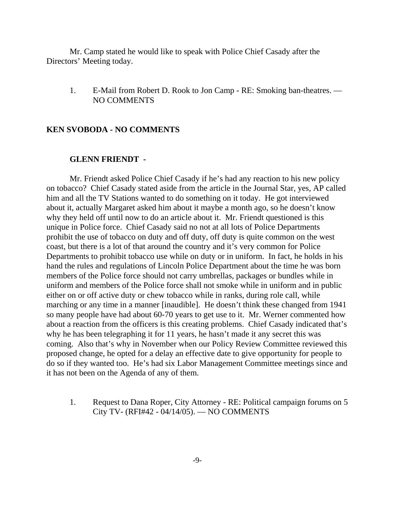Mr. Camp stated he would like to speak with Police Chief Casady after the Directors' Meeting today.

1. E-Mail from Robert D. Rook to Jon Camp - RE: Smoking ban-theatres. — NO COMMENTS

#### **KEN SVOBODA - NO COMMENTS**

#### **GLENN FRIENDT -**

Mr. Friendt asked Police Chief Casady if he's had any reaction to his new policy on tobacco? Chief Casady stated aside from the article in the Journal Star, yes, AP called him and all the TV Stations wanted to do something on it today. He got interviewed about it, actually Margaret asked him about it maybe a month ago, so he doesn't know why they held off until now to do an article about it. Mr. Friendt questioned is this unique in Police force. Chief Casady said no not at all lots of Police Departments prohibit the use of tobacco on duty and off duty, off duty is quite common on the west coast, but there is a lot of that around the country and it's very common for Police Departments to prohibit tobacco use while on duty or in uniform. In fact, he holds in his hand the rules and regulations of Lincoln Police Department about the time he was born members of the Police force should not carry umbrellas, packages or bundles while in uniform and members of the Police force shall not smoke while in uniform and in public either on or off active duty or chew tobacco while in ranks, during role call, while marching or any time in a manner [inaudible]. He doesn't think these changed from 1941 so many people have had about 60-70 years to get use to it. Mr. Werner commented how about a reaction from the officers is this creating problems. Chief Casady indicated that's why he has been telegraphing it for 11 years, he hasn't made it any secret this was coming. Also that's why in November when our Policy Review Committee reviewed this proposed change, he opted for a delay an effective date to give opportunity for people to do so if they wanted too. He's had six Labor Management Committee meetings since and it has not been on the Agenda of any of them.

1. Request to Dana Roper, City Attorney - RE: Political campaign forums on 5 City TV- (RFI#42 - 04/14/05). — NO COMMENTS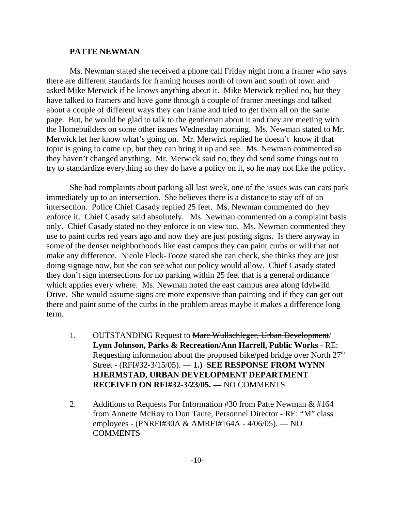#### **PATTE NEWMAN**

Ms. Newman stated she received a phone call Friday night from a framer who says there are different standards for framing houses north of town and south of town and asked Mike Merwick if he knows anything about it. Mike Merwick replied no, but they have talked to framers and have gone through a couple of framer meetings and talked about a couple of different ways they can frame and tried to get them all on the same page. But, he would be glad to talk to the gentleman about it and they are meeting with the Homebuilders on some other issues Wednesday morning. Ms. Newman stated to Mr. Merwick let her know what's going on. Mr. Merwick replied he doesn't know if that topic is going to come up, but they can bring it up and see. Ms. Newman commented so they haven't changed anything. Mr. Merwick said no, they did send some things out to try to standardize everything so they do have a policy on it, so he may not like the policy.

She had complaints about parking all last week, one of the issues was can cars park immediately up to an intersection. She believes there is a distance to stay off of an intersection. Police Chief Casady replied 25 feet. Ms. Newman commented do they enforce it. Chief Casady said absolutely. Ms. Newman commented on a complaint basis only. Chief Casady stated no they enforce it on view too. Ms. Newman commented they use to paint curbs red years ago and now they are just posting signs. Is there anyway in some of the denser neighborhoods like east campus they can paint curbs or will that not make any difference. Nicole Fleck-Tooze stated she can check, she thinks they are just doing signage now, but she can see what our policy would allow. Chief Casady stated they don't sign intersections for no parking within 25 feet that is a general ordinance which applies every where. Ms. Newman noted the east campus area along Idylwild Drive. She would assume signs are more expensive than painting and if they can get out there and paint some of the curbs in the problem areas maybe it makes a difference long term.

- 1. OUTSTANDING Request to Marc Wullschleger, Urban Development/ **Lynn Johnson, Parks & Recreation/Ann Harrell, Public Works** - RE: Requesting information about the proposed bike/ped bridge over North  $27<sup>th</sup>$ Street - (RFI#32-3/15/05). — **1.) SEE RESPONSE FROM WYNN HJERMSTAD, URBAN DEVELOPMENT DEPARTMENT RECEIVED ON RFI#32-3/23/05. —** NO COMMENTS
- 2. Additions to Requests For Information #30 from Patte Newman & #164 from Annette McRoy to Don Taute, Personnel Director - RE: "M" class employees - (PNRFI#30A & AMRFI#164A - 4/06/05). — NO **COMMENTS**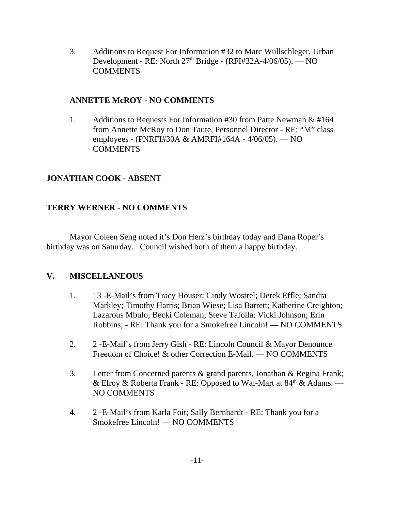3. Additions to Request For Information #32 to Marc Wullschleger, Urban Development - RE: North  $27<sup>th</sup>$  Bridge - (RFI#32A-4/06/05). — NO COMMENTS

## **ANNETTE McROY - NO COMMENTS**

1. Additions to Requests For Information #30 from Patte Newman & #164 from Annette McRoy to Don Taute, Personnel Director - RE: "M" class employees - (PNRFI#30A & AMRFI#164A - 4/06/05). — NO COMMENTS

# **JONATHAN COOK - ABSENT**

# **TERRY WERNER - NO COMMENTS**

Mayor Coleen Seng noted it's Don Herz's birthday today and Dana Roper's birthday was on Saturday. Council wished both of them a happy birthday.

# **V. MISCELLANEOUS**

- 1. 13 -E-Mail's from Tracy Houser; Cindy Wostrel; Derek Effle; Sandra Markley; Timothy Harris; Brian Wiese; Lisa Barrett; Katherine Creighton; Lazarous Mbulo; Becki Coleman; Steve Tafolla; Vicki Johnson; Erin Robbins; - RE: Thank you for a Smokefree Lincoln! — NO COMMENTS
- 2. 2 -E-Mail's from Jerry Gish RE: Lincoln Council & Mayor Denounce Freedom of Choice! & other Correction E-Mail. — NO COMMENTS
- 3. Letter from Concerned parents & grand parents, Jonathan & Regina Frank; & Elroy & Roberta Frank - RE: Opposed to Wal-Mart at  $84<sup>th</sup>$  & Adams. — NO COMMENTS
- 4. 2 -E-Mail's from Karla Foit; Sally Bernhardt RE: Thank you for a Smokefree Lincoln! — NO COMMENTS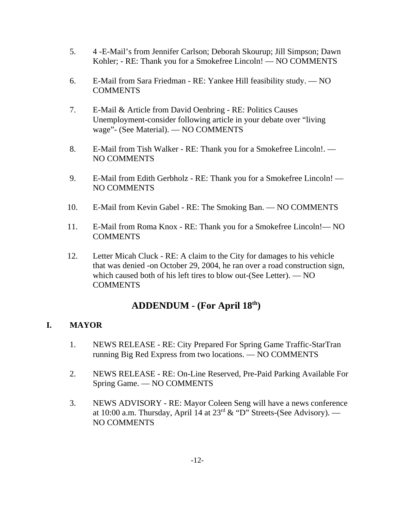- 5. 4 -E-Mail's from Jennifer Carlson; Deborah Skourup; Jill Simpson; Dawn Kohler; - RE: Thank you for a Smokefree Lincoln! — NO COMMENTS
- 6. E-Mail from Sara Friedman RE: Yankee Hill feasibility study. NO COMMENTS
- 7. E-Mail & Article from David Oenbring RE: Politics Causes Unemployment-consider following article in your debate over "living wage"- (See Material). — NO COMMENTS
- 8. E-Mail from Tish Walker RE: Thank you for a Smokefree Lincoln!. NO COMMENTS
- 9. E-Mail from Edith Gerbholz RE: Thank you for a Smokefree Lincoln! NO COMMENTS
- 10. E-Mail from Kevin Gabel RE: The Smoking Ban. NO COMMENTS
- 11. E-Mail from Roma Knox RE: Thank you for a Smokefree Lincoln!— NO COMMENTS
- 12. Letter Micah Cluck RE: A claim to the City for damages to his vehicle that was denied -on October 29, 2004, he ran over a road construction sign, which caused both of his left tires to blow out-(See Letter). — NO **COMMENTS**

# **ADDENDUM - (For April 18th)**

# **I. MAYOR**

- 1. NEWS RELEASE RE: City Prepared For Spring Game Traffic-StarTran running Big Red Express from two locations. — NO COMMENTS
- 2. NEWS RELEASE RE: On-Line Reserved, Pre-Paid Parking Available For Spring Game. — NO COMMENTS
- 3. NEWS ADVISORY RE: Mayor Coleen Seng will have a news conference at 10:00 a.m. Thursday, April 14 at  $23<sup>rd</sup> \&$  "D" Streets-(See Advisory). — NO COMMENTS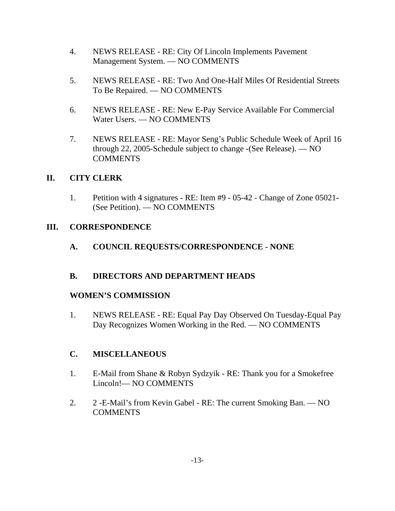- 4. NEWS RELEASE RE: City Of Lincoln Implements Pavement Management System. — NO COMMENTS
- 5. NEWS RELEASE RE: Two And One-Half Miles Of Residential Streets To Be Repaired. — NO COMMENTS
- 6. NEWS RELEASE RE: New E-Pay Service Available For Commercial Water Users. — NO COMMENTS
- 7. NEWS RELEASE RE: Mayor Seng's Public Schedule Week of April 16 through 22, 2005-Schedule subject to change -(See Release). — NO COMMENTS

## **II. CITY CLERK**

1. Petition with 4 signatures - RE: Item #9 - 05-42 - Change of Zone 05021**-** (See Petition). — NO COMMENTS

## **III. CORRESPONDENCE**

# **A. COUNCIL REQUESTS/CORRESPONDENCE - NONE**

# **B. DIRECTORS AND DEPARTMENT HEADS**

## **WOMEN'S COMMISSION**

1. NEWS RELEASE - RE: Equal Pay Day Observed On Tuesday-Equal Pay Day Recognizes Women Working in the Red. — NO COMMENTS

# **C. MISCELLANEOUS**

- 1. E-Mail from Shane & Robyn Sydzyik RE: Thank you for a Smokefree Lincoln!— NO COMMENTS
- 2. 2 -E-Mail's from Kevin Gabel RE: The current Smoking Ban. NO COMMENTS